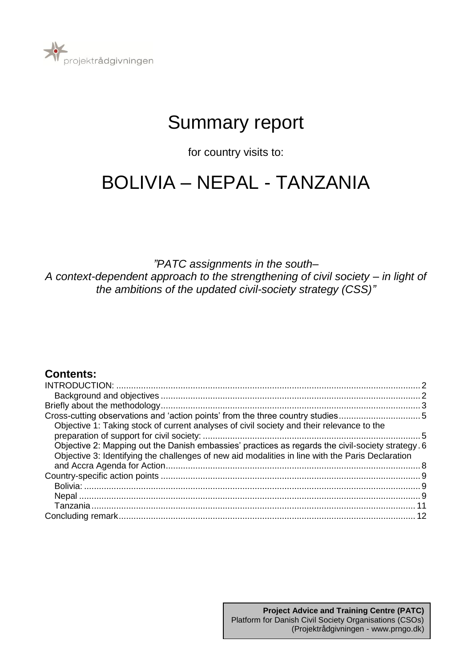

# Summary report

for country visits to:

# BOLIVIA – NEPAL - TANZANIA

*"PATC assignments in the south– A context-dependent approach to the strengthening of civil society – in light of the ambitions of the updated civil-society strategy (CSS)"*

## **Contents:**

| Cross-cutting observations and 'action points' from the three country studies5                    |  |
|---------------------------------------------------------------------------------------------------|--|
| Objective 1: Taking stock of current analyses of civil society and their relevance to the         |  |
|                                                                                                   |  |
| Objective 2: Mapping out the Danish embassies' practices as regards the civil-society strategy. 6 |  |
| Objective 3: Identifying the challenges of new aid modalities in line with the Paris Declaration  |  |
|                                                                                                   |  |
|                                                                                                   |  |
|                                                                                                   |  |
|                                                                                                   |  |
|                                                                                                   |  |
|                                                                                                   |  |
|                                                                                                   |  |

1 (Projektrådgivningen - www.prngo.dk)**Project Advice and Training Centre (PATC)** Platform for Danish Civil Society Organisations (CSOs)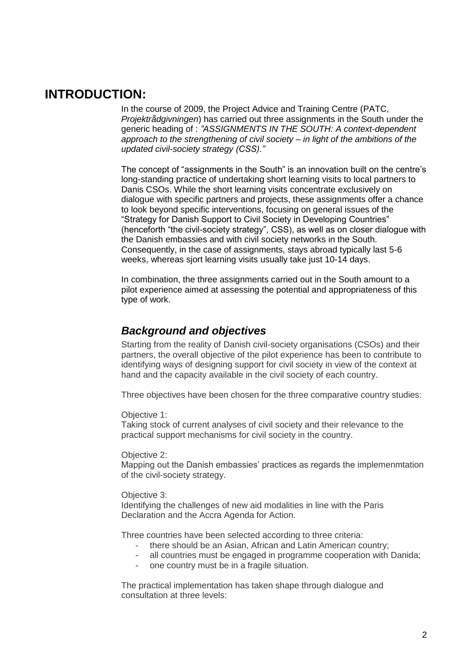## <span id="page-1-0"></span>**INTRODUCTION:**

In the course of 2009, the Project Advice and Training Centre (PATC, *Projektrådgivningen*) has carried out three assignments in the South under the generic heading of : *"ASSIGNMENTS IN THE SOUTH: A context-dependent approach to the strengthening of civil society – in light of the ambitions of the updated civil-society strategy (CSS)."* 

The concept of "assignments in the South" is an innovation built on the centre's long-standing practice of undertaking short learning visits to local partners to Danis CSOs. While the short learning visits concentrate exclusively on dialogue with specific partners and projects, these assignments offer a chance to look beyond specific interventions, focusing on general issues of the "Strategy for Danish Support to Civil Society in Developing Countries" (henceforth "the civil-society strategy", CSS), as well as on closer dialogue with the Danish embassies and with civil society networks in the South. Consequently, in the case of assignments, stays abroad typically last 5-6 weeks, whereas sjort learning visits usually take just 10-14 days.

In combination, the three assignments carried out in the South amount to a pilot experience aimed at assessing the potential and appropriateness of this type of work.

## <span id="page-1-1"></span>*Background and objectives*

Starting from the reality of Danish civil-society organisations (CSOs) and their partners, the overall objective of the pilot experience has been to contribute to identifying ways of designing support for civil society in view of the context at hand and the capacity available in the civil society of each country.

Three objectives have been chosen for the three comparative country studies:

Objective 1:

Taking stock of current analyses of civil society and their relevance to the practical support mechanisms for civil society in the country.

Objective 2:

Mapping out the Danish embassies' practices as regards the implemenmtation of the civil-society strategy.

## Objective 3:

Identifying the challenges of new aid modalities in line with the Paris Declaration and the Accra Agenda for Action.

Three countries have been selected according to three criteria:

- there should be an Asian, African and Latin American country;
- all countries must be engaged in programme cooperation with Danida;
	- one country must be in a fragile situation.

The practical implementation has taken shape through dialogue and consultation at three levels: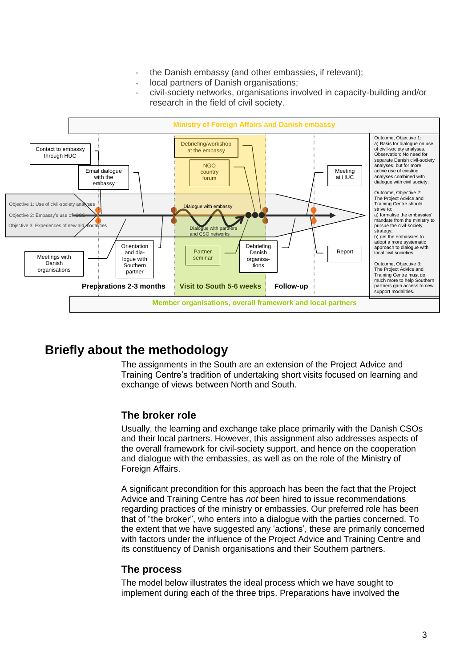- the Danish embassy (and other embassies, if relevant);
- local partners of Danish organisations;
- civil-society networks, organisations involved in capacity-building and/or research in the field of civil society.



## <span id="page-2-0"></span>**Briefly about the methodology**

The assignments in the South are an extension of the Project Advice and Training Centre's tradition of undertaking short visits focused on learning and exchange of views between North and South.

## **The broker role**

Usually, the learning and exchange take place primarily with the Danish CSOs and their local partners. However, this assignment also addresses aspects of the overall framework for civil-society support, and hence on the cooperation and dialogue with the embassies, as well as on the role of the Ministry of Foreign Affairs.

A significant precondition for this approach has been the fact that the Project Advice and Training Centre has *not* been hired to issue recommendations regarding practices of the ministry or embassies. Our preferred role has been that of "the broker", who enters into a dialogue with the parties concerned. To the extent that we have suggested any 'actions', these are primarily concerned with factors under the influence of the Project Advice and Training Centre and its constituency of Danish organisations and their Southern partners.

## **The process**

The model below illustrates the ideal process which we have sought to implement during each of the three trips. Preparations have involved the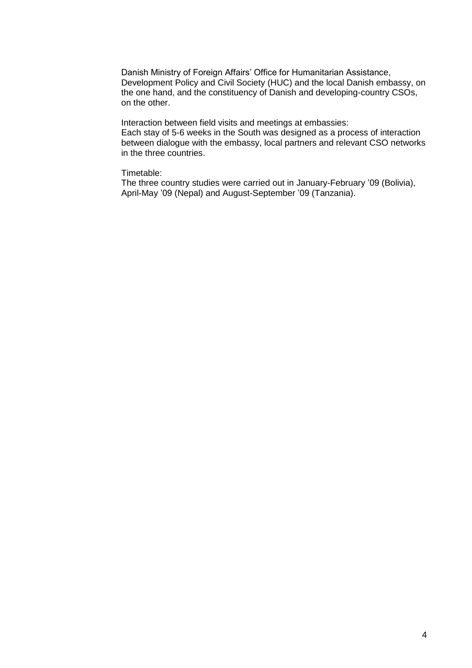Danish Ministry of Foreign Affairs' Office for Humanitarian Assistance, Development Policy and Civil Society (HUC) and the local Danish embassy, on the one hand, and the constituency of Danish and developing-country CSOs, on the other.

Interaction between field visits and meetings at embassies: Each stay of 5-6 weeks in the South was designed as a process of interaction between dialogue with the embassy, local partners and relevant CSO networks in the three countries.

## Timetable:

The three country studies were carried out in January-February '09 (Bolivia), April-May '09 (Nepal) and August-September '09 (Tanzania).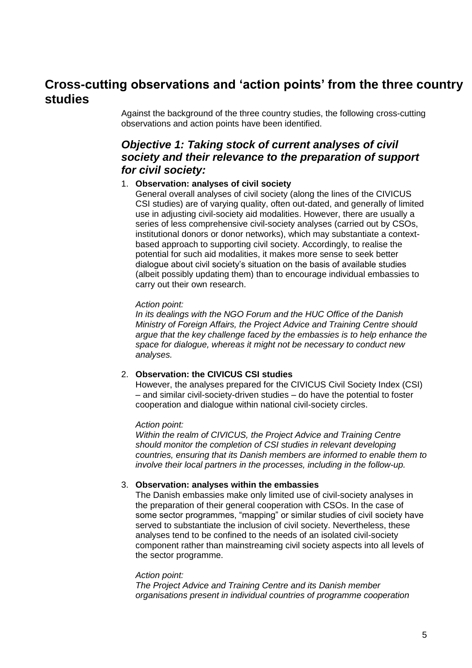## <span id="page-4-0"></span>**Cross-cutting observations and 'action points' from the three country studies**

Against the background of the three country studies, the following cross-cutting observations and action points have been identified.

## <span id="page-4-1"></span>*Objective 1: Taking stock of current analyses of civil society and their relevance to the preparation of support for civil society:*

## 1. **Observation: analyses of civil society**

General overall analyses of civil society (along the lines of the CIVICUS CSI studies) are of varying quality, often out-dated, and generally of limited use in adjusting civil-society aid modalities. However, there are usually a series of less comprehensive civil-society analyses (carried out by CSOs, institutional donors or donor networks), which may substantiate a contextbased approach to supporting civil society. Accordingly, to realise the potential for such aid modalities, it makes more sense to seek better dialogue about civil society's situation on the basis of available studies (albeit possibly updating them) than to encourage individual embassies to carry out their own research.

#### *Action point:*

*In its dealings with the NGO Forum and the HUC Office of the Danish Ministry of Foreign Affairs, the Project Advice and Training Centre should argue that the key challenge faced by the embassies is to help enhance the space for dialogue, whereas it might not be necessary to conduct new analyses.*

### 2. **Observation: the CIVICUS CSI studies**

However, the analyses prepared for the CIVICUS Civil Society Index (CSI) – and similar civil-society-driven studies – do have the potential to foster cooperation and dialogue within national civil-society circles.

### *Action point:*

*Within the realm of CIVICUS, the Project Advice and Training Centre should monitor the completion of CSI studies in relevant developing countries, ensuring that its Danish members are informed to enable them to involve their local partners in the processes, including in the follow-up.*

### 3. **Observation: analyses within the embassies**

The Danish embassies make only limited use of civil-society analyses in the preparation of their general cooperation with CSOs. In the case of some sector programmes, "mapping" or similar studies of civil society have served to substantiate the inclusion of civil society. Nevertheless, these analyses tend to be confined to the needs of an isolated civil-society component rather than mainstreaming civil society aspects into all levels of the sector programme.

#### *Action point:*

*The Project Advice and Training Centre and its Danish member organisations present in individual countries of programme cooperation*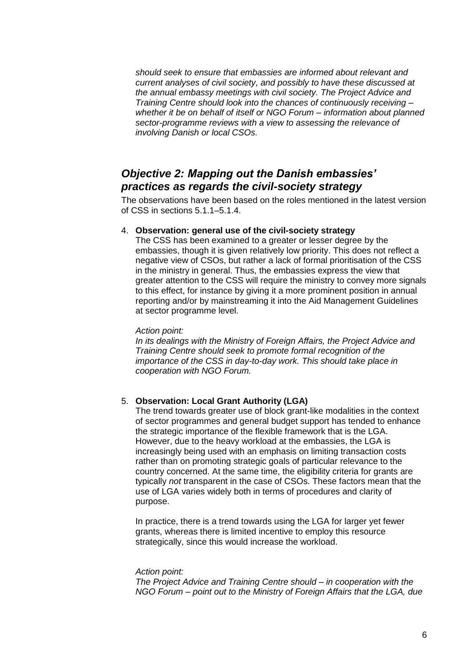*should seek to ensure that embassies are informed about relevant and current analyses of civil society, and possibly to have these discussed at the annual embassy meetings with civil society. The Project Advice and Training Centre should look into the chances of continuously receiving – whether it be on behalf of itself or NGO Forum – information about planned sector-programme reviews with a view to assessing the relevance of involving Danish or local CSOs.*

## <span id="page-5-0"></span>*Objective 2: Mapping out the Danish embassies' practices as regards the civil-society strategy*

The observations have been based on the roles mentioned in the latest version of CSS in sections 5.1.1–5.1.4.

## 4. **Observation: general use of the civil-society strategy**

The CSS has been examined to a greater or lesser degree by the embassies, though it is given relatively low priority. This does not reflect a negative view of CSOs, but rather a lack of formal prioritisation of the CSS in the ministry in general. Thus, the embassies express the view that greater attention to the CSS will require the ministry to convey more signals to this effect, for instance by giving it a more prominent position in annual reporting and/or by mainstreaming it into the Aid Management Guidelines at sector programme level.

### *Action point:*

*In its dealings with the Ministry of Foreign Affairs, the Project Advice and Training Centre should seek to promote formal recognition of the importance of the CSS in day-to-day work. This should take place in cooperation with NGO Forum.*

## 5. **Observation: Local Grant Authority (LGA)**

The trend towards greater use of block grant-like modalities in the context of sector programmes and general budget support has tended to enhance the strategic importance of the flexible framework that is the LGA. However, due to the heavy workload at the embassies, the LGA is increasingly being used with an emphasis on limiting transaction costs rather than on promoting strategic goals of particular relevance to the country concerned. At the same time, the eligibility criteria for grants are typically *not* transparent in the case of CSOs. These factors mean that the use of LGA varies widely both in terms of procedures and clarity of purpose.

In practice, there is a trend towards using the LGA for larger yet fewer grants, whereas there is limited incentive to employ this resource strategically, since this would increase the workload.

### *Action point:*

*The Project Advice and Training Centre should – in cooperation with the NGO Forum – point out to the Ministry of Foreign Affairs that the LGA, due*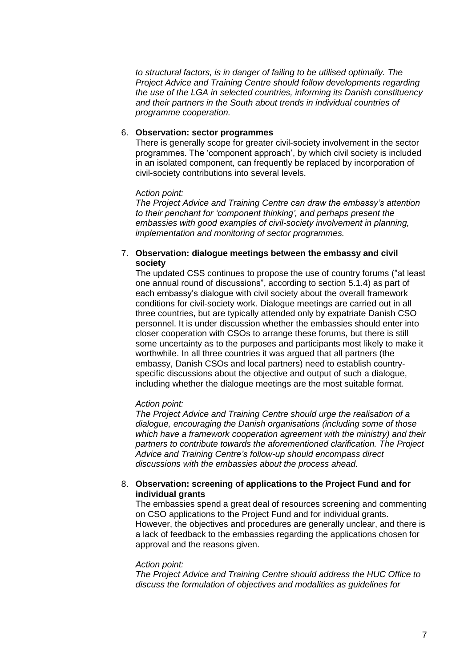*to structural factors, is in danger of failing to be utilised optimally. The Project Advice and Training Centre should follow developments regarding the use of the LGA in selected countries, informing its Danish constituency and their partners in the South about trends in individual countries of programme cooperation.*

### 6. **Observation: sector programmes**

There is generally scope for greater civil-society involvement in the sector programmes. The 'component approach', by which civil society is included in an isolated component, can frequently be replaced by incorporation of civil-society contributions into several levels.

## A*ction point:*

*The Project Advice and Training Centre can draw the embassy's attention to their penchant for 'component thinking', and perhaps present the embassies with good examples of civil-society involvement in planning, implementation and monitoring of sector programmes.*

## 7. **Observation: dialogue meetings between the embassy and civil society**

The updated CSS continues to propose the use of country forums ("at least one annual round of discussions", according to section 5.1.4) as part of each embassy's dialogue with civil society about the overall framework conditions for civil-society work. Dialogue meetings are carried out in all three countries, but are typically attended only by expatriate Danish CSO personnel. It is under discussion whether the embassies should enter into closer cooperation with CSOs to arrange these forums, but there is still some uncertainty as to the purposes and participants most likely to make it worthwhile. In all three countries it was argued that all partners (the embassy, Danish CSOs and local partners) need to establish countryspecific discussions about the objective and output of such a dialogue, including whether the dialogue meetings are the most suitable format.

## *Action point:*

*The Project Advice and Training Centre should urge the realisation of a dialogue, encouraging the Danish organisations (including some of those which have a framework cooperation agreement with the ministry) and their partners to contribute towards the aforementioned clarification. The Project Advice and Training Centre's follow-up should encompass direct discussions with the embassies about the process ahead.*

## 8. **Observation: screening of applications to the Project Fund and for individual grants**

The embassies spend a great deal of resources screening and commenting on CSO applications to the Project Fund and for individual grants. However, the objectives and procedures are generally unclear, and there is a lack of feedback to the embassies regarding the applications chosen for approval and the reasons given.

### *Action point:*

*The Project Advice and Training Centre should address the HUC Office to discuss the formulation of objectives and modalities as guidelines for*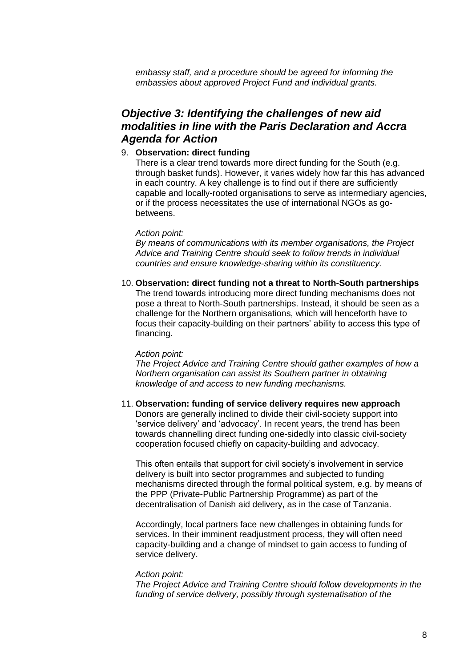*embassy staff, and a procedure should be agreed for informing the embassies about approved Project Fund and individual grants.*

## <span id="page-7-0"></span>*Objective 3: Identifying the challenges of new aid modalities in line with the Paris Declaration and Accra Agenda for Action*

## 9. **Observation: direct funding**

There is a clear trend towards more direct funding for the South (e.g. through basket funds). However, it varies widely how far this has advanced in each country. A key challenge is to find out if there are sufficiently capable and locally-rooted organisations to serve as intermediary agencies, or if the process necessitates the use of international NGOs as gobetweens.

#### *Action point:*

*By means of communications with its member organisations, the Project Advice and Training Centre should seek to follow trends in individual countries and ensure knowledge-sharing within its constituency.* 

10. **Observation: direct funding not a threat to North-South partnerships** The trend towards introducing more direct funding mechanisms does not pose a threat to North-South partnerships. Instead, it should be seen as a challenge for the Northern organisations, which will henceforth have to focus their capacity-building on their partners' ability to access this type of financing.

#### *Action point:*

*The Project Advice and Training Centre should gather examples of how a Northern organisation can assist its Southern partner in obtaining knowledge of and access to new funding mechanisms.* 

## 11. **Observation: funding of service delivery requires new approach**

Donors are generally inclined to divide their civil-society support into 'service delivery' and 'advocacy'. In recent years, the trend has been towards channelling direct funding one-sidedly into classic civil-society cooperation focused chiefly on capacity-building and advocacy.

This often entails that support for civil society's involvement in service delivery is built into sector programmes and subjected to funding mechanisms directed through the formal political system, e.g. by means of the PPP (Private-Public Partnership Programme) as part of the decentralisation of Danish aid delivery, as in the case of Tanzania.

Accordingly, local partners face new challenges in obtaining funds for services. In their imminent readjustment process, they will often need capacity-building and a change of mindset to gain access to funding of service delivery.

#### *Action point:*

*The Project Advice and Training Centre should follow developments in the funding of service delivery, possibly through systematisation of the*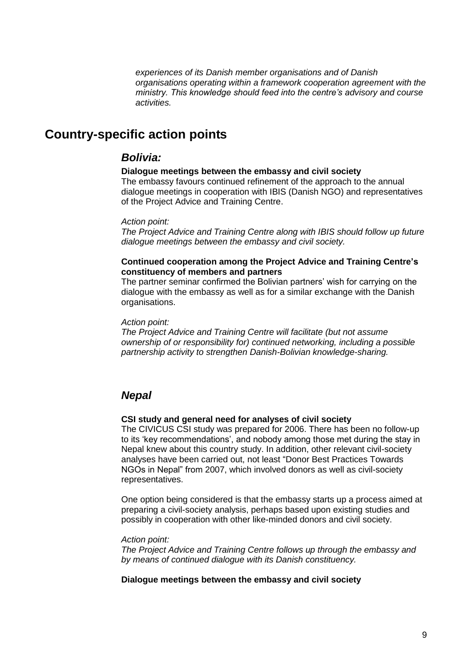*experiences of its Danish member organisations and of Danish organisations operating within a framework cooperation agreement with the ministry. This knowledge should feed into the centre's advisory and course activities.*

## <span id="page-8-0"></span>**Country-specific action points**

## <span id="page-8-1"></span>*Bolivia:*

#### **Dialogue meetings between the embassy and civil society**

The embassy favours continued refinement of the approach to the annual dialogue meetings in cooperation with IBIS (Danish NGO) and representatives of the Project Advice and Training Centre.

#### *Action point:*

*The Project Advice and Training Centre along with IBIS should follow up future dialogue meetings between the embassy and civil society.*

## **Continued cooperation among the Project Advice and Training Centre's constituency of members and partners**

The partner seminar confirmed the Bolivian partners' wish for carrying on the dialogue with the embassy as well as for a similar exchange with the Danish organisations.

#### *Action point:*

*The Project Advice and Training Centre will facilitate (but not assume ownership of or responsibility for) continued networking, including a possible partnership activity to strengthen Danish-Bolivian knowledge-sharing.*

## <span id="page-8-2"></span>*Nepal*

#### **CSI study and general need for analyses of civil society**

The CIVICUS CSI study was prepared for 2006. There has been no follow-up to its 'key recommendations', and nobody among those met during the stay in Nepal knew about this country study. In addition, other relevant civil-society analyses have been carried out, not least "Donor Best Practices Towards NGOs in Nepal" from 2007, which involved donors as well as civil-society representatives.

One option being considered is that the embassy starts up a process aimed at preparing a civil-society analysis, perhaps based upon existing studies and possibly in cooperation with other like-minded donors and civil society.

#### *Action point:*

*The Project Advice and Training Centre follows up through the embassy and by means of continued dialogue with its Danish constituency.* 

## **Dialogue meetings between the embassy and civil society**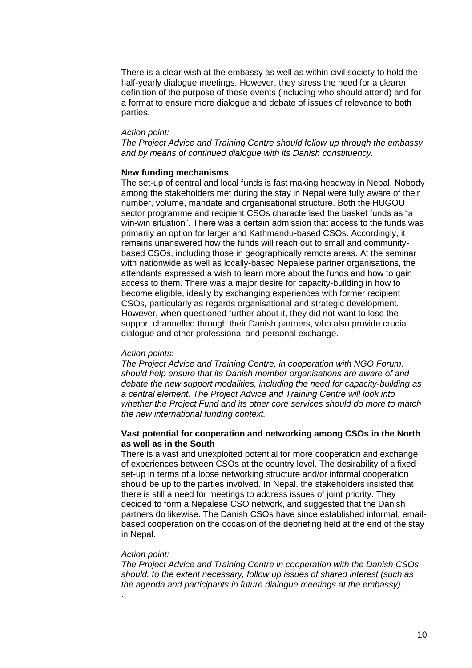There is a clear wish at the embassy as well as within civil society to hold the half-yearly dialogue meetings. However, they stress the need for a clearer definition of the purpose of these events (including who should attend) and for a format to ensure more dialogue and debate of issues of relevance to both parties.

#### *Action point:*

*The Project Advice and Training Centre should follow up through the embassy and by means of continued dialogue with its Danish constituency.*

#### **New funding mechanisms**

The set-up of central and local funds is fast making headway in Nepal. Nobody among the stakeholders met during the stay in Nepal were fully aware of their number, volume, mandate and organisational structure. Both the HUGOU sector programme and recipient CSOs characterised the basket funds as "a win-win situation". There was a certain admission that access to the funds was primarily an option for larger and Kathmandu-based CSOs. Accordingly, it remains unanswered how the funds will reach out to small and communitybased CSOs, including those in geographically remote areas. At the seminar with nationwide as well as locally-based Nepalese partner organisations, the attendants expressed a wish to learn more about the funds and how to gain access to them. There was a major desire for capacity-building in how to become eligible, ideally by exchanging experiences with former recipient CSOs, particularly as regards organisational and strategic development. However, when questioned further about it, they did not want to lose the support channelled through their Danish partners, who also provide crucial dialogue and other professional and personal exchange.

#### *Action points:*

*The Project Advice and Training Centre, in cooperation with NGO Forum, should help ensure that its Danish member organisations are aware of and debate the new support modalities, including the need for capacity-building as a central element. The Project Advice and Training Centre will look into whether the Project Fund and its other core services should do more to match the new international funding context.*

## **Vast potential for cooperation and networking among CSOs in the North as well as in the South**

There is a vast and unexploited potential for more cooperation and exchange of experiences between CSOs at the country level. The desirability of a fixed set-up in terms of a loose networking structure and/or informal cooperation should be up to the parties involved. In Nepal, the stakeholders insisted that there is still a need for meetings to address issues of joint priority. They decided to form a Nepalese CSO network, and suggested that the Danish partners do likewise. The Danish CSOs have since established informal, emailbased cooperation on the occasion of the debriefing held at the end of the stay in Nepal.

#### *Action point:*

.

*The Project Advice and Training Centre in cooperation with the Danish CSOs should, to the extent necessary, follow up issues of shared interest (such as the agenda and participants in future dialogue meetings at the embassy).*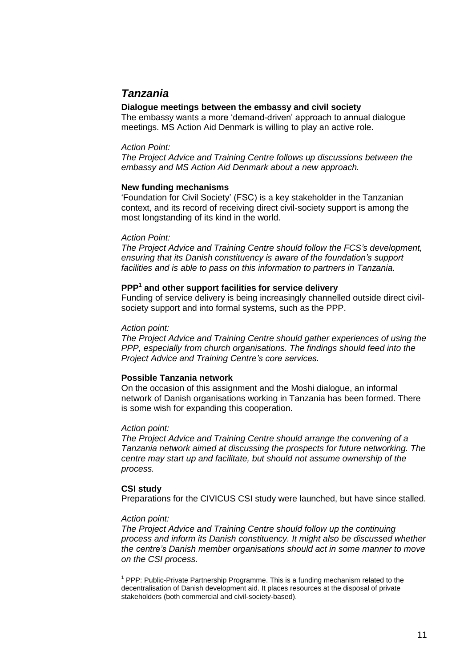## <span id="page-10-0"></span>*Tanzania*

## **Dialogue meetings between the embassy and civil society**

The embassy wants a more 'demand-driven' approach to annual dialogue meetings. MS Action Aid Denmark is willing to play an active role.

## *Action Point:*

*The Project Advice and Training Centre follows up discussions between the embassy and MS Action Aid Denmark about a new approach.*

## **New funding mechanisms**

'Foundation for Civil Society' (FSC) is a key stakeholder in the Tanzanian context, and its record of receiving direct civil-society support is among the most longstanding of its kind in the world.

## *Action Point:*

*The Project Advice and Training Centre should follow the FCS's development, ensuring that its Danish constituency is aware of the foundation's support facilities and is able to pass on this information to partners in Tanzania.*

## **PPP<sup>1</sup> and other support facilities for service delivery**

Funding of service delivery is being increasingly channelled outside direct civilsociety support and into formal systems, such as the PPP.

## *Action point:*

*The Project Advice and Training Centre should gather experiences of using the PPP, especially from church organisations. The findings should feed into the Project Advice and Training Centre's core services.*

## **Possible Tanzania network**

On the occasion of this assignment and the Moshi dialogue, an informal network of Danish organisations working in Tanzania has been formed. There is some wish for expanding this cooperation.

## *Action point:*

*The Project Advice and Training Centre should arrange the convening of a Tanzania network aimed at discussing the prospects for future networking. The centre may start up and facilitate, but should not assume ownership of the process.*

## **CSI study**

Preparations for the CIVICUS CSI study were launched, but have since stalled.

### *Action point:*

*The Project Advice and Training Centre should follow up the continuing process and inform its Danish constituency. It might also be discussed whether the centre's Danish member organisations should act in some manner to move on the CSI process.*

 1 PPP: Public-Private Partnership Programme. This is a funding mechanism related to the decentralisation of Danish development aid. It places resources at the disposal of private stakeholders (both commercial and civil-society-based).